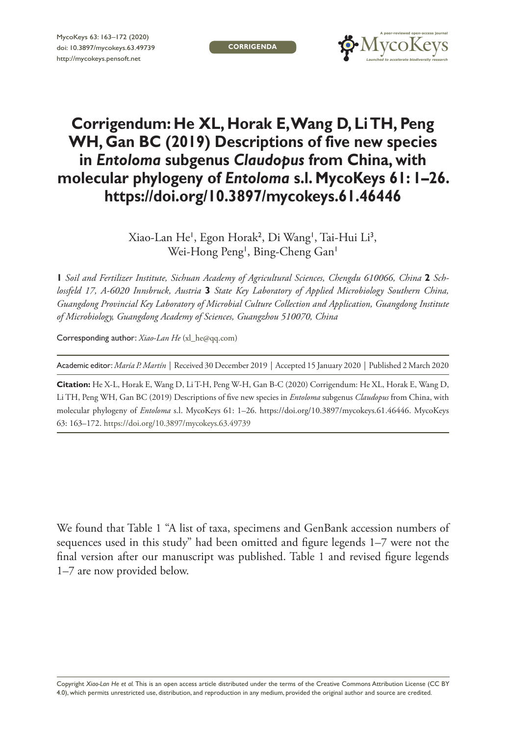**CORRIGENDA**



## **Corrigendum: He XL, Horak E, Wang D, Li TH, Peng WH, Gan BC (2019) Descriptions of five new species in** *Entoloma* **subgenus** *Claudopus* **from China, with molecular phylogeny of** *Entoloma* **s.l. MycoKeys 61: 1–26. <https://doi.org/10.3897/mycokeys.61.46446>**

Xiao-Lan He', Egon Horak<sup>2</sup>, Di Wang', Tai-Hui Li<sup>3</sup>, Wei-Hong Peng<sup>1</sup>, Bing-Cheng Gan<sup>1</sup>

**1** *Soil and Fertilizer Institute, Sichuan Academy of Agricultural Sciences, Chengdu 610066, China* **2** *Schlossfeld 17, A-6020 Innsbruck, Austria* **3** *State Key Laboratory of Applied Microbiology Southern China, Guangdong Provincial Key Laboratory of Microbial Culture Collection and Application, Guangdong Institute of Microbiology, Guangdong Academy of Sciences, Guangzhou 510070, China*

Corresponding author: *Xiao-Lan He* [\(xl\\_he@qq.com](mailto:xl_he@qq.com))

Academic editor: *María P. Martín* | Received 30 December 2019 | Accepted 15 January 2020 | Published 2 March 2020

**Citation:** He X-L, Horak E, Wang D, Li T-H, Peng W-H, Gan B-C (2020) Corrigendum: He XL, Horak E, Wang D, Li TH, Peng WH, Gan BC (2019) Descriptions of five new species in *Entoloma* subgenus *Claudopus* from China, with molecular phylogeny of *Entoloma* s.l. MycoKeys 61: 1–26. <https://doi.org/10.3897/mycokeys.61.46446>. MycoKeys 63: 163–172. <https://doi.org/10.3897/mycokeys.63.49739>

We found that Table 1 "A list of taxa, specimens and GenBank accession numbers of sequences used in this study" had been omitted and figure legends 1–7 were not the final version after our manuscript was published. Table 1 and revised figure legends 1–7 are now provided below.

Copyright *Xiao-Lan He et al.* This is an open access article distributed under the terms of the [Creative Commons Attribution License \(CC BY](http://creativecommons.org/licenses/by/4.0/)  [4.0\)](http://creativecommons.org/licenses/by/4.0/), which permits unrestricted use, distribution, and reproduction in any medium, provided the original author and source are credited.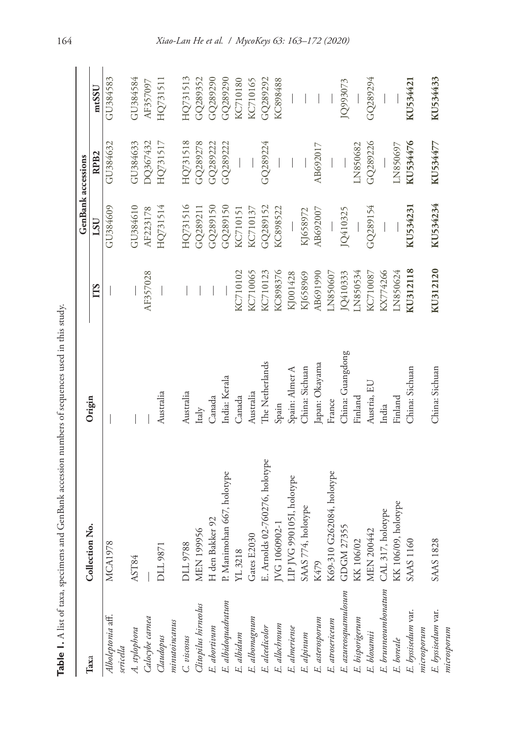|                                  |                                |                  |          | <b>GenBank</b> accessions |                  |          |
|----------------------------------|--------------------------------|------------------|----------|---------------------------|------------------|----------|
| Taxa                             | Collection No.                 | Origin           | ГTS      | $_{LSU}$                  | RPB <sub>2</sub> | mtSSU    |
| Alboleptonia aff.<br>sericella   | $\infty$<br><b>MCA197</b>      |                  |          | GU384609                  | GU384632         | GU384583 |
|                                  | AST84                          |                  |          | GU384610                  | GU384633         | GU384584 |
| A. stylophora<br>Calocybe carnea |                                |                  | AF357028 | AF223178                  | DQ367432         | AF357097 |
| Claudopus                        | DLL 9871                       | Australia        |          | HQ731514                  | HQ731517         | HQ731511 |
| minumionus                       |                                |                  |          |                           |                  |          |
| C. viscosus                      | DLL 9788                       | Australia        |          | HQ731516                  | HQ731518         | HQ731513 |
| Clitopilus hirneolus             | MEN 199956                     | Italy            |          | GQ289211                  | GQ289278         | GQ289352 |
| E. abortivum                     | H den Bakker 92                | Canada           |          | GQ289150                  | GQ289222         | GQ289290 |
| E. albidoquadratum               | P. Manimohan 667, holotype     | India: Kerala    |          | GQ289150                  | GQ289222         | GQ289290 |
| E. albidum                       | YL 3218                        | Canada           | KC710102 | KC710151                  |                  | KC710180 |
| E. albomagnum                    | Gates E2030                    | Australia        | KC710065 | KC710137                  |                  | KC710165 |
| E. alcedicolor                   | E. Arnolds 02-760276, holotype | The Netherlands  | KC710123 | GQ289152                  | GQ289224         | GQ289292 |
| E. allochroum                    | JVG 1060902-1                  | Spain            | KC898376 | KC898522                  |                  | KC898488 |
| E. almeriense                    | LIP JVG 990105I, holotype      | Spain: Almer A   | KJ001428 |                           |                  |          |
| E. alpinum                       | SAAS 774, holotype             | China: Sichuan   | KJ658969 | KJ658972                  |                  |          |
| E. asterosporum                  | K479                           | Japan: Okayama   | AB691990 | AB692007                  | AB692017         |          |
| E. atrosericeum                  | G262084, holotype<br>K69-310   | France           | LN850607 |                           |                  |          |
| E. azureosquamulosum             | GDGM 27355                     | China: Guangdong | JQ410333 | JQ410325                  |                  | JQ993073 |
| E. bisporigerum                  | KK 106/02                      | Finland          | LN850534 |                           | LN850682         |          |
| E. bloxamii                      | MEN 200442                     | Austria, EU      | KC710087 | GQ289154                  | GQ289226         | GQ289294 |
| $E.$ brunneoumbonatum            | CAL 317, holotype              | India            | KX774266 |                           |                  |          |
| E. boreale                       | KK 106/09, holotype            | Finland          | LN850624 |                           | LN850697         |          |
| E. byssisedum var.               | <b>SAAS 1160</b>               | China: Sichuan   | KU312118 | KU534231                  | KU534476         | KU534421 |
| microsporum                      |                                |                  |          |                           |                  |          |
| E. byssisedum var.               | <b>SAAS 1828</b>               | China: Sichuan   | KU312120 | KU534234                  | KU534477         | KU534433 |
| microsporum                      |                                |                  |          |                           |                  |          |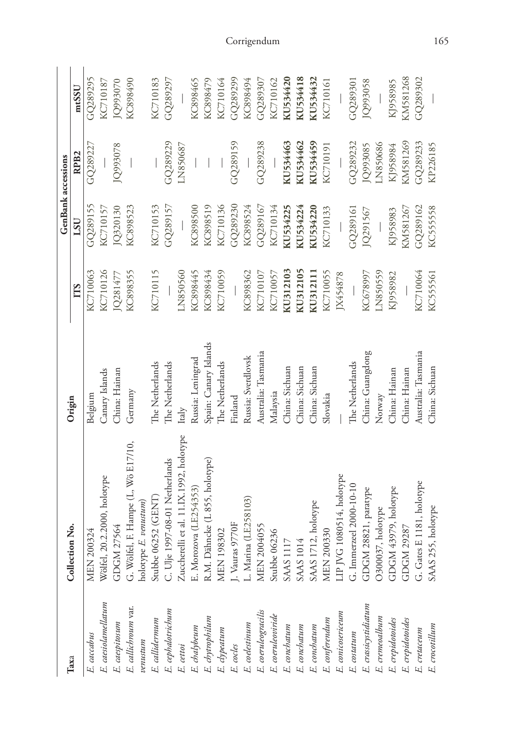|                                                                                                                                                  |                                         |                       |          | <b>GenBank</b> accessions |          |          |
|--------------------------------------------------------------------------------------------------------------------------------------------------|-----------------------------------------|-----------------------|----------|---------------------------|----------|----------|
| Taxa                                                                                                                                             | Collection No.                          | Origin                | TTS      | LSU                       | RPB2     | mtSSU    |
| E. caccabus                                                                                                                                      | MEN 200324                              | Belgium               | KC710063 | GQ289155                  | GQ289227 | GQ289295 |
| E. caesiolamellatum                                                                                                                              | Wölfel, 20.2.2000, holotype             | Canary Islands        | KC710126 | KC710157                  |          | KC710187 |
| E. caespitosum                                                                                                                                   | GDGM 27564                              | China: Hainan         | JQ281477 | JQ320130                  | JQ993078 | JQ993070 |
| E. callichroum var.                                                                                                                              | G. Wölfel, F. Hampe (L, Wö E17/10,      | Germany               | KC898355 | KC898523                  |          | KC898490 |
| venus turn                                                                                                                                       | holotype E. venustum)                   |                       |          |                           |          |          |
|                                                                                                                                                  | Stubbe 06252 (GENT)                     | The Netherlands       | KC710115 | KC710153                  |          | KC710183 |
| E. callidermum<br>E. cephalotrichum                                                                                                              | C. Ulje 1997-08-01 Netherlands          | The Netherlands       |          | GQ289157                  | GQ289229 | GQ289297 |
| E. cettoi                                                                                                                                        | Zuccherelli et al. 11.IX.1992, holotype | Italy                 | LN850560 |                           | LN850687 |          |
|                                                                                                                                                  | E. Morozova (LE254353)                  | Russia: Leningrad     | KC898445 | KC898500                  |          | KC898465 |
|                                                                                                                                                  | R.M. Dähncke (L 855, holotype)          | Spain: Canary Islands | KC898434 | KC898519                  |          | KC898479 |
|                                                                                                                                                  | <b>MEN 198302</b>                       | The Netherlands       | KC710059 | KC710136                  |          | KC710164 |
|                                                                                                                                                  | J. Vauras 9770F                         | Finland               |          | GQ289230                  | GQ289159 | GQ289299 |
|                                                                                                                                                  | Marina (LE258103)                       | Russia: Sverdlovsk    | KC898362 | KC898524                  |          | KC898494 |
|                                                                                                                                                  | MEN 2004055                             | Australia: Tasmania   | KC710107 | GQ289167                  | GQ289238 | GQ289307 |
|                                                                                                                                                  | Stubbe 06236                            | Malaysia              | KC710057 | KC710134                  |          | KC710162 |
|                                                                                                                                                  | <b>SAAS 1117</b>                        | China: Sichuan        | KU312103 | KU534225                  | KU534463 | KU534420 |
| E. chabbeum<br>E. chyrophilum<br>E. coles<br>E. coelestinum<br>E. coeruleopiride<br>E. conchatum<br>E. conchatum<br>E. conchatum<br>E. conchatum | <b>SAAS 1014</b>                        | China: Sichuan        | KU312105 | KU534224                  | KU534462 | KU534418 |
|                                                                                                                                                  | 712, holotype<br>SAAS I                 | China: Sichuan        | KU312111 | KU534220                  | KU534459 | KU534432 |
| E. conferendum                                                                                                                                   | <b>MEN 200330</b>                       | Slovakia              | KC710055 | KC710133                  | KC710191 | KC710161 |
| E. conicosericeum                                                                                                                                | LIP JVG 1080514, holotype               |                       | JX454878 |                           |          |          |
| E. costatum                                                                                                                                      | G. Immerzeel 2000-10-10                 | The Netherlands       |          | GQ289161                  | GQ289232 | GQ289301 |
| E. crassicystidiatum                                                                                                                             | GDGM 28821, paratype                    | China: Guangdong      | KC678997 | JQ291567                  | IQ993085 | JQ993058 |
| E. cremeoalbum                                                                                                                                   | O300037, holotype                       | Norway                | LN850559 |                           | LN850686 |          |
| E. crepidotoides                                                                                                                                 | GDGM 43979, holotype                    | China: Hainan         | KJ958982 | KJ958983                  | KJ958984 | KJ958985 |
| E. crepidotoides                                                                                                                                 | [29287<br><b>GDGM</b>                   | China: Hainan         |          | KM581267                  | KM581269 | KM581268 |
| E. cretaceum                                                                                                                                     | G. Gates E 1181, holotype               | Australia: Tasmania   | KC710064 | GQ289162                  | GQ289233 | GQ289302 |
| E. crocotillum                                                                                                                                   | SAAS 255, holotype                      | China: Sichuan        | KC555561 | KC55558                   | KP226185 |          |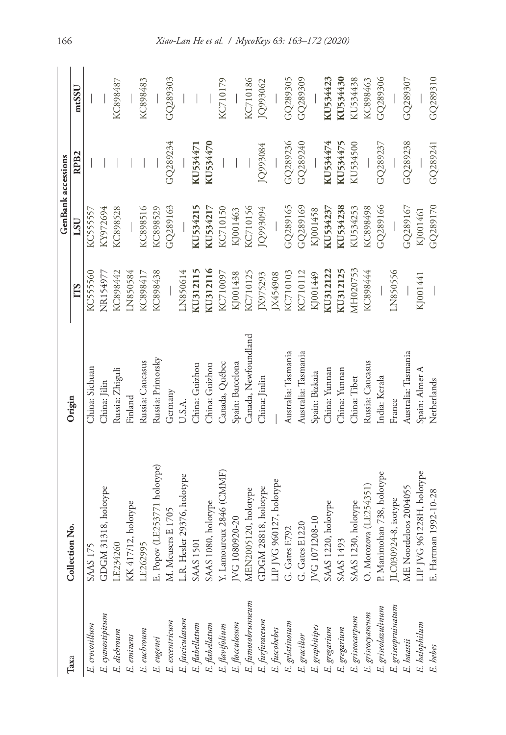| Taxa                                                                                                                                                    | Collection No.                                                                                                    | Origin               |          | <b>GenBank</b> accessions |                  |          |
|---------------------------------------------------------------------------------------------------------------------------------------------------------|-------------------------------------------------------------------------------------------------------------------|----------------------|----------|---------------------------|------------------|----------|
|                                                                                                                                                         |                                                                                                                   |                      | TTS      | $_{LSU}$                  | RPB <sub>2</sub> | mtSSU    |
| E. crocotillum                                                                                                                                          | <b>SAAS 175</b>                                                                                                   | China: Sichuan       | KC555560 | KC555557                  |                  |          |
|                                                                                                                                                         | GDGM 31318, holotype                                                                                              | China: Jilin         | NR154977 | KY972694                  |                  |          |
| E. cyanostipitum<br>E. dichroum                                                                                                                         | LE234260                                                                                                          | Russia: Zhiguli      | KC898442 | KC898528                  |                  | KC898487 |
|                                                                                                                                                         | KK 417/12, holotype                                                                                               | Finland              | LN850584 |                           |                  |          |
| E. eminens<br>E. euchroum                                                                                                                               | LE262995                                                                                                          | Russia: Caucasus     | KC898417 | KC898516                  |                  | KC898483 |
|                                                                                                                                                         |                                                                                                                   | Russia: Primorsky    | KC898438 | KC898529                  |                  |          |
| E. eugenei<br>E. escentricum<br>E. flabellatum<br>E. flabellatum<br>E. flavifolium<br>E. flurfunceum<br>E. furfunceum<br>E. fucobebes<br>E. gelatinosum | E. Popov (LE253771 holotype)<br>M. Meusers E 1705                                                                 | Germany              |          | GQ289163                  | GQ289234         | GQ289303 |
|                                                                                                                                                         | L.R. Hesler 29376, holotype<br>SAAS 1501                                                                          | U.S.A                | LN850614 |                           |                  |          |
|                                                                                                                                                         |                                                                                                                   | China: Guizhou       | KU312115 | KU534215                  | KU534471         |          |
|                                                                                                                                                         |                                                                                                                   | China: Guizhou       | KU312116 | KU534217                  | KU534470         |          |
|                                                                                                                                                         |                                                                                                                   | Canada, Québec       | KC710097 | KC710150                  |                  | KC710179 |
|                                                                                                                                                         |                                                                                                                   | Spain: Barcelona     | KJ001438 | KJ001463                  |                  |          |
|                                                                                                                                                         | SAAS 1080, holotype<br>Y. Lamoureux 2846 (CMMF)<br>JVG 1080920-20<br>MEN2005120, holotype<br>GDGM 28818, holotype | Canada, Newfoundland | KC710125 | KC710156                  |                  | KC710186 |
|                                                                                                                                                         |                                                                                                                   | China: Jinlin        | JX975293 | JQ993094                  | JQ993084         | JQ993062 |
|                                                                                                                                                         | 960127, holotype<br><b>LIP JVG</b>                                                                                |                      | JX454908 |                           |                  |          |
|                                                                                                                                                         | G. Gates E792                                                                                                     | Australia: Tasmania  | KC710103 | GQ289165                  | GQ289236         | GQ289305 |
|                                                                                                                                                         |                                                                                                                   | Australia: Tasmania  | KC710112 | GQ289169                  | GQ289240         | GQ289309 |
|                                                                                                                                                         | G. Gates E1220<br>JVG 1071208-10                                                                                  | Spain: Bizkaia       | K1001449 | KJ001458                  |                  |          |
|                                                                                                                                                         | SAAS 1220, holotype                                                                                               | China: Yunnan        | KU312122 | KU534237                  | KU534474         | KU534423 |
|                                                                                                                                                         | SAAS 1493                                                                                                         | China: Yunnan        | KU312125 | KU534238                  | KU534475         | KU534430 |
|                                                                                                                                                         | SAAS 1230, holotype<br>O. Morozova (LE254351)                                                                     | China: Tibet         | MH020753 | KU534253                  | KU534500         | KU534438 |
|                                                                                                                                                         |                                                                                                                   | Russia: Caucasus     | KC898444 | KC898498                  |                  | KC898463 |
| E. gracilior<br>E. gregarium<br>E. gregarium<br>E. griseocarpum<br>E. griseolazulinum<br>E. griseolazulinum                                             | P. Manimohan 738, holotype                                                                                        | India: Kerala        |          | GQ289166                  | GQ289237         | GQ289306 |
|                                                                                                                                                         | LC030924-8, isotype                                                                                               | France               | LN850556 |                           |                  |          |
| E. griseopruinatum<br>E. haastii                                                                                                                        | <b>ME</b> Noordeloos 2004055                                                                                      | Australia: Tasmania  |          | GQ289167                  | GQ289238         | GQ289307 |
| E. halophilum<br>E. hebes                                                                                                                               | IP JVG 961228H, holotype                                                                                          | Spain: Almer A       | KJ001441 | KJ001461                  |                  |          |
|                                                                                                                                                         | E. Hartman 1992-10-28                                                                                             | Netherlands          |          | GQ289170                  | GQ289241         | GQ289310 |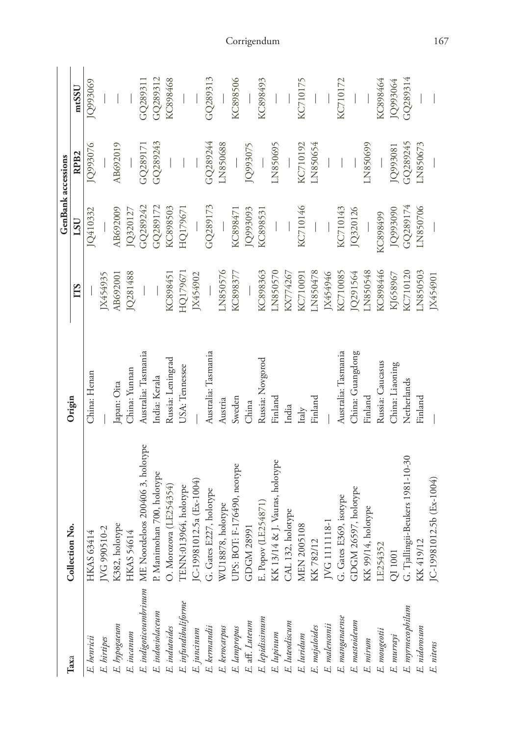|                             |                                  |                     |          | <b>GenBank</b> accessions |                  |          |
|-----------------------------|----------------------------------|---------------------|----------|---------------------------|------------------|----------|
| Taxa                        | Collection No.                   | Origin              | TTS      | $_{LSU}$                  | RPB <sub>2</sub> | mtSSU    |
| E. henricii                 | <b>HKAS 63414</b>                | China: Henan        |          | JQ410332                  | JQ993076         | JQ993069 |
| E. hirtipes                 | JVG 990510-2                     |                     | JX454935 |                           |                  |          |
| E. hypogaeum                | K382, holotype                   | Japan: Oita         | AB692001 | AB692009                  | AB692019         |          |
| E. incanum                  | HKAS 54614                       | China: Yunnan       | JQ281488 | JQ320127                  |                  |          |
| E. indigoticoumbrinum       | ME Noordeloos 200406 3, holotype | Australia: Tasmania |          | GQ289242                  | GQ289171         | GQ289311 |
| E. indoviolaceum            | P. Manimohan 700, holotype       | India: Kerala       |          | GQ289172                  | GQ289243         | GQ289312 |
| E. indutoides               | O. Morozova (LE254354)           | Russia: Leningrad   | KC898451 | KC898503                  |                  | KC898468 |
| E. infundibuliforme         | TENN:013964, holotype            | USA: Tennessee      | HQ179671 | HQ179671                  |                  |          |
| E. juncinum                 | JC-19981012.5a (Ex-1004)         |                     | JX454902 |                           |                  |          |
| E. kermandii                | G. Gates E227, holotype          | Australia: Tasmania |          | GQ289173                  | GQ289244         | GQ289313 |
| E. kerocarpus               | WU18878, holotype                | Austria             | LN850576 |                           | LN850688         |          |
| E. lampropus                | UPS: BOT: F-176490, neotype      | Sweden              | KC898377 | KC898471                  |                  | KC898506 |
| $\cal E.$ aff. $\it Luteum$ | GDGM 28991                       | China               |          | JQ993093                  | JQ993075         |          |
| E. lepidissimum             | E. Popov (LE254871)              | Russia: Novgorod    | KC898363 | KC898531                  |                  | KC898493 |
| E. lupinum                  | KK 13/14 & J. Vauras, holotype   | Finland             | LN850570 |                           | LN850695         |          |
| E. luteodiscum              | CAL 132, holotype                | India               | KX774267 |                           |                  |          |
| E. luridum                  | MEN 2005108                      | Italy               | KC710091 | KC710146                  | KC710192         | KC710175 |
| E. majaloides               | KK 782/12                        | Finland             | LN850478 |                           | LN850654         |          |
| E. malenconii               | JVG 1111118-1                    |                     | JX454946 |                           |                  |          |
| E. manganaense              | G. Gates E369, isotype           | Australia: Tasmania | KC710085 | KC710143                  |                  | KC710172 |
| E. mastoideum               | GDGM 26597, holotype             | China: Guangdong    | JQ291564 | JQ320126                  |                  |          |
| E. mirum                    | KK 99/14, holotype               | Finland             | LN850548 |                           | LN850699         |          |
| E. mougeotii                | LE254352                         | Russia: Caucasus    | KC898446 | KC898499                  |                  | KC898464 |
| E. murrayi                  | QI 1001                          | China: Liaoning     | KJ658967 | JQ993090                  | IQ993081         | JQ993064 |
| E. myrmecophilum            | G. Tjallingii-Beukers 1981-10-30 | Netherlands         | KC710120 | GQ289174                  | GQ289245         | GQ289314 |
| E. nidorosum                | KK 419/                          | Finland             | LN850503 | LN850706                  | LN850673         |          |
| E. nitens                   | 1012.5b (Ex-1004)<br>$IC-1998$   |                     | JX454901 |                           |                  |          |

Corrigendum 167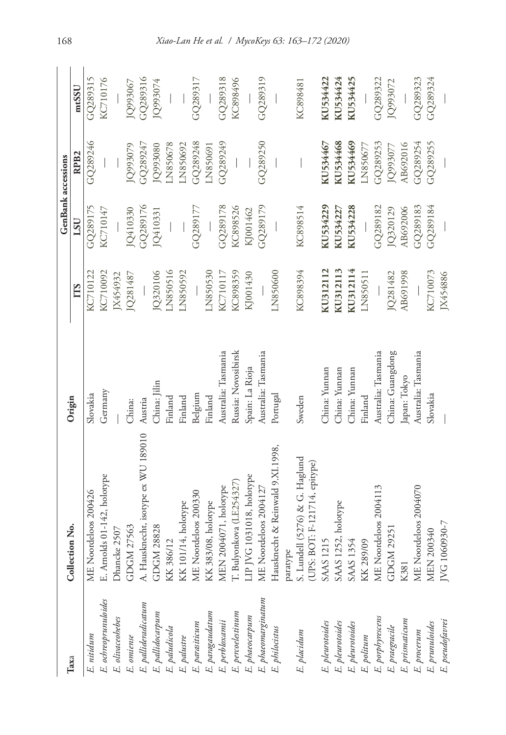|                                                                                                               |                                                                             |                     |          | <b>GenBank</b> accessions |                  |          |
|---------------------------------------------------------------------------------------------------------------|-----------------------------------------------------------------------------|---------------------|----------|---------------------------|------------------|----------|
| Taxa                                                                                                          | Collection No.                                                              | Origin              | TTS      | LSU                       | RPB <sub>2</sub> | mtSSU    |
| E. nitidum                                                                                                    | ME Noordeloos 200426                                                        | Slovakia            | KC710122 | GQ28917                   | GQ289246         | GQ289315 |
| E. ochreoprunuloides                                                                                          | E. Arnolds 01-142, holotype                                                 | Germany             | KC710092 | KC710147                  |                  | KC710176 |
| E. olivaceohebes                                                                                              | : 2507<br>Dhancke                                                           |                     | IX454932 |                           |                  |          |
|                                                                                                               | GDGM 27563                                                                  | China:              | JQ281487 | JQ410330                  | JQ993079         | JQ993067 |
|                                                                                                               | A. Hausknecht, isotype ex WU 189010                                         | Austria             |          | GQ289176                  | GQ289247         | GQ289316 |
| E. omiense<br>E. pallideradicatum<br>E. pallidocarpum<br>E. paludicola                                        | GDGM 28828                                                                  | China: Jilin        | JQ320106 | JQ410331                  | IQ993080         | JQ993074 |
|                                                                                                               | KK 386/12                                                                   | Finland             | LN850516 |                           | LN850678         |          |
| E. palustre                                                                                                   | KK 101/14, holotype                                                         | Finland             | LN850592 |                           | LN850692         |          |
| E. parasiticum                                                                                                | ME Noordeloos 200330                                                        | Belgium             |          | GQ289177                  | GQ289248         | GQ289317 |
|                                                                                                               | KK 383/08, holotype                                                         | Finland             | LN850530 |                           | LN850691         |          |
| E. paragaudatum<br>E. perbloxamii<br>E. percoelestinum<br>E. phaeocarpum                                      | MEN 2004071, holotype<br>T. Bulyonkova (LE254327)                           | Australia: Tasmania | KC710117 | GQ289178                  | GQ289249         | GQ289318 |
|                                                                                                               |                                                                             | Russia: Novosibirsk | KC898359 | KC898526                  |                  | KC898496 |
|                                                                                                               | LIP JVG 1031018, holotype                                                   | Spain: La Rioja     | KJ001430 | KJ001462                  |                  |          |
|                                                                                                               | ME Noordeloos 2004127                                                       | Australia: Tasmania |          | GQ289179                  | GQ289250         | GQ289319 |
| E. phaeomarginatum<br>E. philocistus                                                                          | Hausknecht & Reinwald 9.XI.1998,                                            | Portugal            | LN850600 |                           |                  |          |
|                                                                                                               |                                                                             |                     |          |                           |                  |          |
| E. placidum                                                                                                   | paratype<br>S. Lundell (5276) & G. Haglund<br>(UPS: BOT: F-121714, epitype) | Sweden              | KC898394 | KC898514                  |                  | KC898481 |
| E. pleurotoides<br>E. pleurotoides<br>E. pleurotoides<br>E. porphyrescens<br>E. prismaticum<br>E. prismaticum | <b>SAAS 1215</b>                                                            | China: Yunnan       | KU312112 | KU534229                  | KU534467         | KU534422 |
|                                                                                                               | SAAS 1252, holotype                                                         | China: Yunnan       | KU312113 | KU534227                  | KU534468         | KU534424 |
|                                                                                                               | SAAS 1354                                                                   | China: Yunnan       | KU312114 | KU534228                  | KU534469         | KU534425 |
|                                                                                                               | KK 289/09                                                                   | Finland             | LN850511 |                           | LN850677         |          |
|                                                                                                               | ME Noordeloos 2004113                                                       | Australia: Tasmania |          | GQ289182                  | GQ289253         | GO289322 |
|                                                                                                               | GDGM 29251                                                                  | China: Guangdong    | JQ281482 | JQ320129                  | JQ993077         | JQ993072 |
|                                                                                                               | K381                                                                        | Japan: Tokyo        | AB691998 | AB692006                  | AB692016         |          |
| $E.$ procerum                                                                                                 | ME Noordeloos 2004070                                                       | Australia: Tasmania |          | GQ289183                  | GQ289254         | GQ289323 |
|                                                                                                               | MEN 200340                                                                  | Slovakia            | KC710073 | GQ289184                  | GQ289255         | GQ289324 |
| E. prunuloides<br>E. pseudofavrei                                                                             | JVG 1060930-7                                                               |                     | JX454886 |                           |                  |          |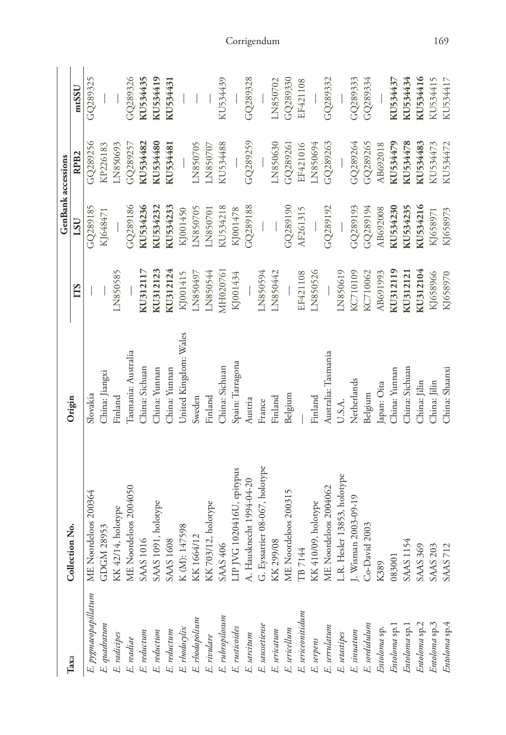| Таха                 | Collection No.                 | Origin                |            | <b>GenBank</b> accessions |                  |          |
|----------------------|--------------------------------|-----------------------|------------|---------------------------|------------------|----------|
|                      |                                |                       | <b>TTS</b> | LSU                       | RPB <sub>2</sub> | mtSSU    |
| E. pygmaeopapillatum | ME Noordeloos 200364           | Slovakia              |            | GQ289185                  | GQ289256         | GQ289325 |
| E. quadratum         | GDGM 28953                     | China: Jiangxi        |            | KJ648471                  | KP226183         |          |
| E. radicipes         | KK 42/14, holotype             | Finland               | LN850585   |                           | LN850693         |          |
| E. readiae           | ME Noordeloos 2004050          | Casmania: Australia   |            | GO289186                  | GQ289257         | GO289326 |
| E. reductum          | <b>SAAS 1016</b>               | China: Sichuan        | KU312117   | KU534236                  | KU534482         | KU534435 |
| E. reductum          | SAAS 1091, holotype            | China: Yunnan         | KU312123   | KU534232                  | KU534480         | KU534419 |
| E. reductum          | <b>SAAS 1608</b>               | China: Yunnan         | KU312124   | KU534233                  | KU534481         | KU534431 |
| E. rhodocylix        | K (M): 147598                  | United Kingdom: Wales | KJ001415   | KJ001450                  |                  |          |
| E. rhodopolium       | KK1664/12                      | Sweden                | LN850497   | LN850705                  | LN850705         |          |
| E. rivulare          | KK 703/12, holotype            | Finland               | LN850544   | LN850701                  | LN850707         |          |
| E. rubropilosum      | SAAS 406                       | China: Sichuan        | MH020761   | KU534218                  | KU534488         | KU534439 |
| E. rusticoides       | LIP JVG 1020416U, epitypus     | Spain: Tarragona      | KJ001434   | KJ001478                  |                  |          |
| E. sarcitum          | A. Hausknecht 1994-04-20       | Austria               |            | GQ289188                  | GQ289259         | GQ289328 |
| E. saussetiense      | G. Eyssartier 08-067, holotype | France                | LN850594   |                           |                  |          |
| E. sericatum         | KK 299/08                      | Finland               | LN850442   |                           | LN850630         | LN850702 |
| E. sericellum        | ME Noordeloos 200315           | Belgium               |            | GQ289190                  | GQ289261         | GQ289330 |
| E. sericeonitidum    | TB 7144                        |                       | EF421108   | AF261315                  | EF421016         | EF421108 |
| E. serpens           | KK 410/09, holotype            | Finland               | LN850526   |                           | LN850694         |          |
| E. serrulatum        | ME Noordeloos 2004062          | Australia: Tasmania   |            | GQ289192                  | GQ289263         | GQ289332 |
| E. setastipes        | L.R. Hesler 13853, holotype    | U.S.A.                | LN850619   |                           |                  |          |
| E. sinuatum          | J. Wisman 2003-09-19           | Netherlands           | KC710109   | GQ289193                  | GQ289264         | GQ289333 |
| E. sordidulum        | Co-David 2003                  | Belgium               | KC710062   | GQ289194                  | GQ289265         | GQ289334 |
| Entoloma sp.         | K389                           | Japan: Oita           | AB691993   | AB692008                  | AB692018         |          |
| Entoloma sp.         | 083001                         | China: Yunnan         | KU312119   | KU534230                  | KU534479         | KU534437 |
| Entoloma sp.1        | SAAS 1154                      | China: Sichuan        | KU312121   | KU534235                  | KU534478         | KU534434 |
| Entoloma sp.2        | <b>SAAS 369</b>                | China: Jilin          | KU312104   | KU534216                  | KU534483         | KU534416 |
| Entoloma sp.3        | <b>SAAS 203</b>                | China: Jilin          | KJ658966   | KJ658971                  | KU534473         | KU534415 |
| Entoloma sp.4        | <b>SAAS 712</b>                | China: Shaanxi        | KJ658970   | KJ658973                  | KU534472         | KU534417 |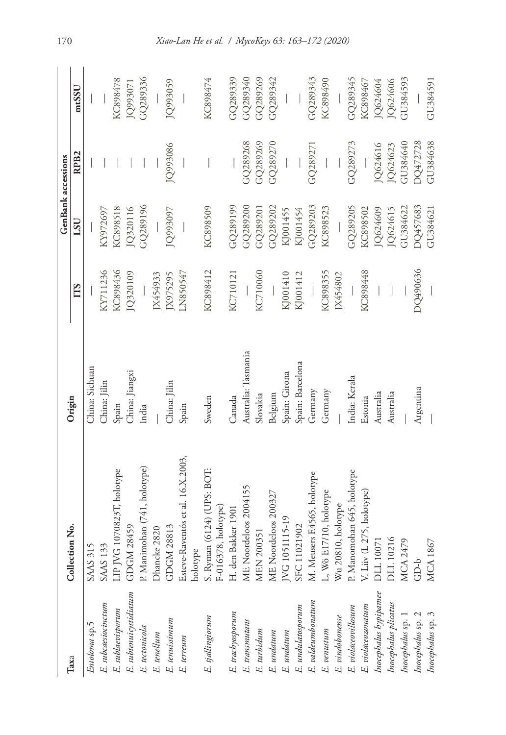| Taxa                   | Collection No.                                    | Origin              |            | <b>GenBank</b> accessions |                  |          |
|------------------------|---------------------------------------------------|---------------------|------------|---------------------------|------------------|----------|
|                        |                                                   |                     | <b>TTS</b> | USU                       | RPB <sub>2</sub> | mtSSU    |
| Entoloma sp.5          | SAAS 31                                           | China: Sichuan      |            |                           |                  |          |
| E. subcaesiocinctum    | <b>SAAS 133</b>                                   | China: Jilin        | KY711236   | KY972697                  |                  |          |
| E. sublaevisporum      | LIP JVG 1070823T, holotype                        | Spain               | KC898436   | KC898518                  |                  | KC898478 |
| E. subtenuicystidiatum | GDGM 28459                                        | China: Jiangxi      | JQ320109   | JQ320116                  |                  | JQ993071 |
| E. tectonicola         | P. Manimohan (741, holotype)                      | India               |            | GQ289196                  |                  | GQ289336 |
| E. tenellum            | Dhancke 2820                                      |                     | JX454933   |                           |                  |          |
| E. tenuissimum         | GDGM 28813                                        | China: Jilin        | IX975295   | JQ993097                  | JQ993086         | JQ993059 |
| E. terreum             | Esteve-Raventós et al. 16.X.2003,                 | Spain               | LN850547   |                           |                  |          |
|                        | holotype                                          |                     |            |                           |                  |          |
| E. tjallingiorum       | S. Ryman (6124) (UPS: BOT:<br>F-016378, holotype) | Sweden              | KC898412   | KC898509                  |                  | KC898474 |
| E. trachyosporum       | H. den Bakker 1901                                | Canada              | KC710121   | GQ289199                  |                  | GQ289339 |
| E. transmutans         |                                                   | Australia: Tasmania |            | GQ289200                  | GQ289268         | GQ289340 |
| E. turbidum            | ME Noordeloos 2004155<br>MEN 200351               | Slovakia            | KC710060   | GQ289201                  | GQ289269         | GQ289269 |
| E. undatum             | ME Noordeloos 200327                              | Belgium             |            | GQ289202                  | GQ289270         | GQ289342 |
| E. undatum             | IVG 1051115-19                                    | Spain: Girona       | KJ001410   | KJ001455                  |                  |          |
| E. undulatosporum      | SFC 11021902                                      | Spain: Barcelona    | KJ001412   | KJ001454                  |                  |          |
| E. valdeumbonatum      | M. Meusers E4565, holotype                        | Germany             |            | GQ289203                  | GQ289271         | GO289343 |
| $E.$ $venus tum$       | L, Wö E17/10, holotype                            | Germany             | KC898355   | KC898523                  |                  | KC898490 |
| E. vindobonense        | Wu 20810, holotype                                |                     | JX454802   |                           |                  |          |
| E. violaceovillosum    | P. Manomohan 645, holotype                        | India: Kerala       |            | GQ289205                  | GQ289273         | GQ289345 |
| $E.$ $violaceosonatum$ | V. Liiv (L 275, holotype)                         | Estonia             | KC898448   | KC898502                  |                  | KC898467 |
| Inocephalus hypipamee  | DLL 10071                                         | Australia           |            | JQ624609                  | IQ624616         | JQ624604 |
| Inocephalus plicatus   | DLL 10216<br>MCA 2479                             | Australia           |            | JQ624615                  | JQ624623         | JQ624606 |
| Inocephalus sp. 1      |                                                   |                     |            | GU384622                  | GU384640         | GQ984593 |
| Inocephalus sp. 2      | $GD-b$                                            | Argentina           | DQ490636   | DQ457683                  | DQ472728         |          |
| Inocephalus sp. 3      | <b>MCA1867</b>                                    |                     |            | GU384621                  | GU384638         | GU384591 |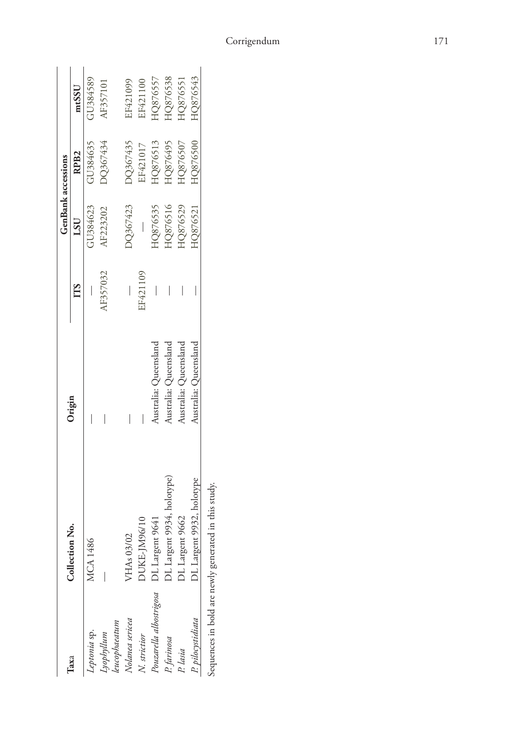|                         |                                                      |                       |                                                                                                                                                                                                                                                                                                                                                                                 | <b>GenBank</b> accessions |                  |          |
|-------------------------|------------------------------------------------------|-----------------------|---------------------------------------------------------------------------------------------------------------------------------------------------------------------------------------------------------------------------------------------------------------------------------------------------------------------------------------------------------------------------------|---------------------------|------------------|----------|
| Таха                    | Collection No.                                       | Origin                | ГTS                                                                                                                                                                                                                                                                                                                                                                             | LSU                       | RPB <sub>2</sub> | mtSSU    |
| Septonia sp.            | <b>MCA1486</b>                                       |                       |                                                                                                                                                                                                                                                                                                                                                                                 | GU384623                  | GU384635         | GU384589 |
| cyophyllum              |                                                      |                       | AF357032                                                                                                                                                                                                                                                                                                                                                                        | AF223202                  | DQ367434         | AF357101 |
| eucophaeatum            |                                                      |                       |                                                                                                                                                                                                                                                                                                                                                                                 |                           |                  |          |
| Volanea sericea         | VHAs 03/02                                           |                       | $\begin{array}{ c c } \hline \rule{0pt}{12pt} \rule{0pt}{2.5pt} \rule{0pt}{2.5pt} \rule{0pt}{2.5pt} \rule{0pt}{2.5pt} \rule{0pt}{2.5pt} \rule{0pt}{2.5pt} \rule{0pt}{2.5pt} \rule{0pt}{2.5pt} \rule{0pt}{2.5pt} \rule{0pt}{2.5pt} \rule{0pt}{2.5pt} \rule{0pt}{2.5pt} \rule{0pt}{2.5pt} \rule{0pt}{2.5pt} \rule{0pt}{2.5pt} \rule{0pt}{2.5pt} \rule{0pt}{2.5pt} \rule{0pt}{2.5$ | <b>O367423</b>            | DQ367435         | EF421099 |
| N. strictior            | DUKE-JM96/10                                         |                       | EF421109                                                                                                                                                                                                                                                                                                                                                                        |                           | EF421017         | EF421100 |
| Pouzarella albostrigosa | DL Largent 9641                                      | Australia: Queensland |                                                                                                                                                                                                                                                                                                                                                                                 | HQ876535                  | HQ876513         | HQ876557 |
| P. farinosa             | OL Largent 9934, holotype)                           | Australia: Queensland |                                                                                                                                                                                                                                                                                                                                                                                 | HQ876516                  | HQ876495         | HQ876538 |
| P. lasia                | DL Largent 9662                                      | Australia: Queensland |                                                                                                                                                                                                                                                                                                                                                                                 | HQ876529                  | HQ876507         | HQ876551 |
| P. pilocystidiata       | DL Largent 9932, holotype                            | Australia: Queensland |                                                                                                                                                                                                                                                                                                                                                                                 | HQ876521                  | HQ876500         | HQ876543 |
|                         | Sequences in bold are newly generated in this study. |                       |                                                                                                                                                                                                                                                                                                                                                                                 |                           |                  |          |